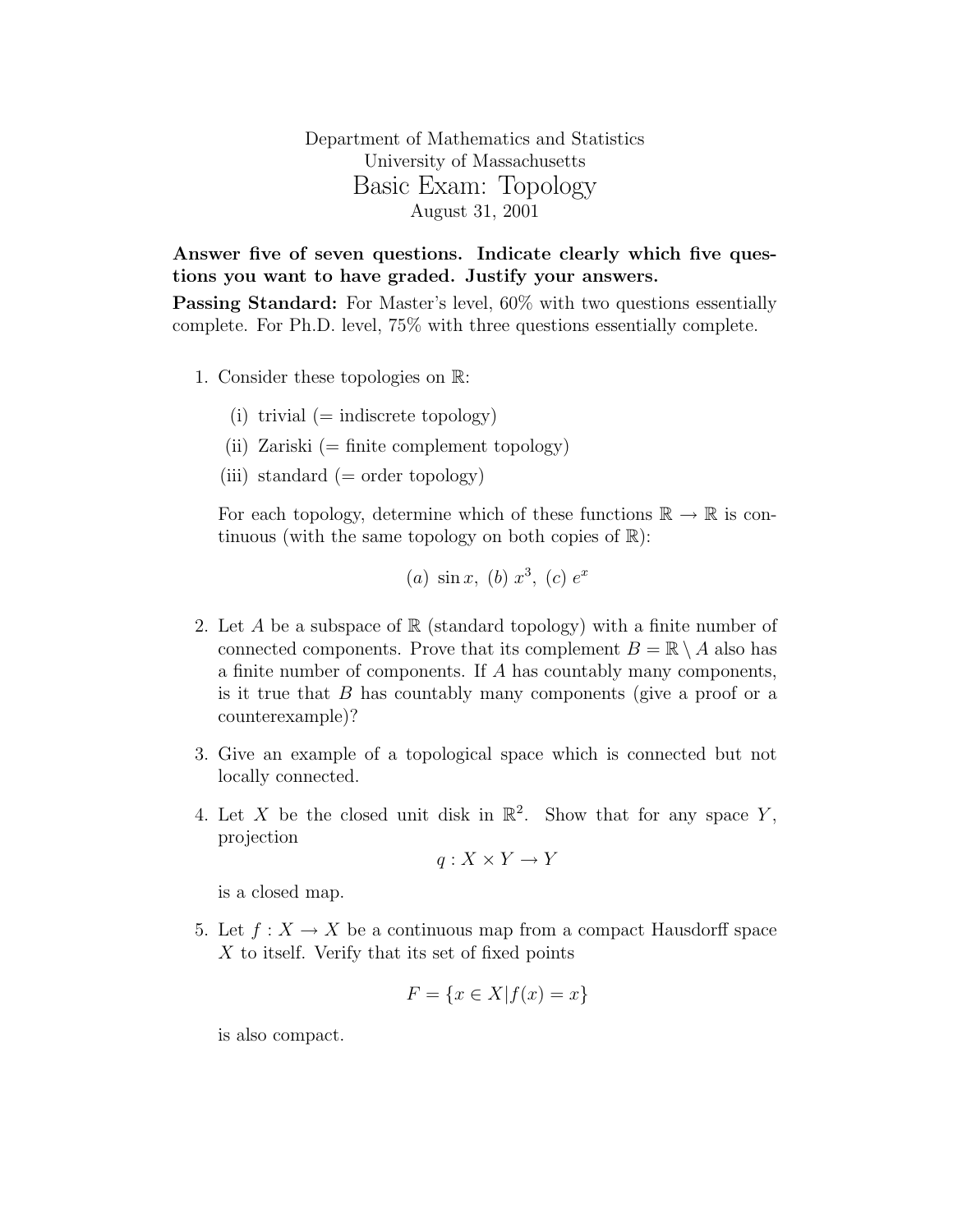Department of Mathematics and Statistics University of Massachusetts Basic Exam: Topology August 31, 2001

Answer five of seven questions. Indicate clearly which five questions you want to have graded. Justify your answers.

Passing Standard: For Master's level,  $60\%$  with two questions essentially complete. For Ph.D. level, 75% with three questions essentially complete.

- 1. Consider these topologies on R:
	- (i) trivial  $(=$  indiscrete topology)
	- (ii) Zariski (= finite complement topology)
	- (iii) standard  $(=$  order topology)

For each topology, determine which of these functions  $\mathbb{R} \to \mathbb{R}$  is continuous (with the same topology on both copies of  $\mathbb{R}$ ):

(a) 
$$
\sin x
$$
, (b)  $x^3$ , (c)  $e^x$ 

- 2. Let A be a subspace of  $\mathbb R$  (standard topology) with a finite number of connected components. Prove that its complement  $B = \mathbb{R} \setminus A$  also has a finite number of components. If A has countably many components, is it true that B has countably many components (give a proof or a counterexample)?
- 3. Give an example of a topological space which is connected but not locally connected.
- 4. Let X be the closed unit disk in  $\mathbb{R}^2$ . Show that for any space Y, projection

$$
q: X \times Y \to Y
$$

is a closed map.

5. Let  $f: X \to X$  be a continuous map from a compact Hausdorff space  $X$  to itself. Verify that its set of fixed points

$$
F = \{ x \in X | f(x) = x \}
$$

is also compact.